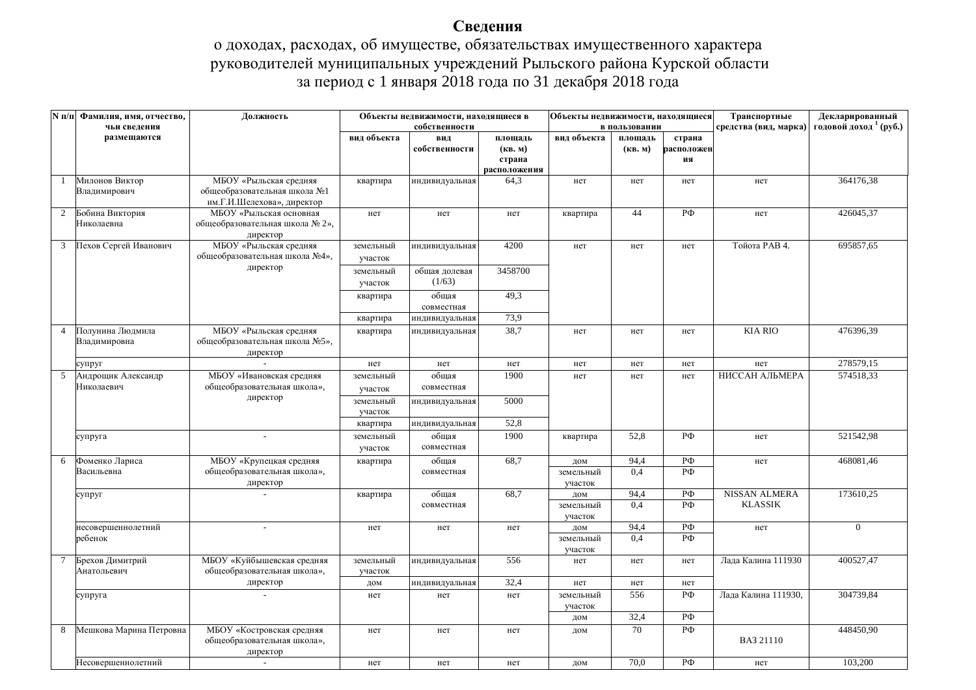## Сведения

## о доходах, расходах, об имуществе, обязательствах имущественного характера руководителей муниципальных учреждений Рыльского района Курской области за период с 1 января 2018 года по 31 декабря 2018 года

|                | N п/п Фамилия, имя, отчество,<br>чьи сведения | Должность                                                                            | Объекты недвижимости, находящиеся в<br>собственности |                         | Объекты недвижимости, находящиеся<br>в пользовании |                             |                    | Транспортные<br>средства (вид, марка) | Декларированный<br>годовой доход <sup>1</sup> (руб.) |                |
|----------------|-----------------------------------------------|--------------------------------------------------------------------------------------|------------------------------------------------------|-------------------------|----------------------------------------------------|-----------------------------|--------------------|---------------------------------------|------------------------------------------------------|----------------|
|                | размещаются                                   |                                                                                      | вид объекта                                          | вид<br>собственности    | площадь<br>(KB. M)<br>страна<br>расположения       | вид объекта                 | площадь<br>(KB. M) | страна<br>расположен<br>ия            |                                                      |                |
| $\mathbf{1}$   | Милонов Виктор<br>Владимирович                | МБОУ «Рыльская средняя<br>общеобразовательная школа №1<br>им.Г.И.Шелехова», директор | квартира                                             | индивидуальная          | 64,3                                               | нет                         | нет                | нет                                   | нет                                                  | 364176,38      |
| 2              | Бобина Виктория<br>Николаевна                 | МБОУ «Рыльская основная<br>общеобразовательная школа № 2»,<br>директор               | нет                                                  | нет                     | нет                                                | квартира                    | 44                 | РФ                                    | нет                                                  | 426045,37      |
| 3              | Пехов Сергей Иванович                         | МБОУ «Рыльская средняя<br>общеобразовательная школа №4»,                             | земельный<br>участок                                 | индивидуальная          | 4200                                               | нет                         | нет                | нет                                   | Тойота РАВ 4.                                        | 695857,65      |
|                |                                               | директор                                                                             | земельный<br>участок                                 | общая долевая<br>(1/63) | 3458700                                            |                             |                    |                                       |                                                      |                |
|                |                                               |                                                                                      | квартира                                             | общая<br>совместная     | 49,3                                               |                             |                    |                                       |                                                      |                |
|                |                                               |                                                                                      | квартира                                             | индивидуальная          | 73,9                                               |                             |                    |                                       |                                                      |                |
| $\overline{4}$ | Полунина Людмила<br>Владимировна              | МБОУ «Рыльская средняя<br>общеобразовательная школа №5»,<br>директор                 | квартира                                             | индивидуальная          | 38,7                                               | нет                         | нет                | нет                                   | <b>KIA RIO</b>                                       | 476396,39      |
|                | супруг                                        |                                                                                      | нет                                                  | нет                     | нет                                                | нет                         | нет                | нет                                   | нет                                                  | 278579,15      |
| 5              | Андрощик Александр<br>Николаевич              | МБОУ «Ивановская средняя<br>общеобразовательная школа»,                              | земельный<br>участок                                 | общая<br>совместная     | 1900                                               | нет                         | нет                | нет                                   | НИССАН АЛЬМЕРА                                       | 574518,33      |
|                |                                               | директор                                                                             | земельный<br>участок                                 | индивидуальная          | 5000                                               |                             |                    |                                       |                                                      |                |
|                |                                               |                                                                                      | квартира                                             | индивидуальная          | 52,8                                               |                             |                    |                                       |                                                      |                |
|                | супруга                                       |                                                                                      | земельный<br>участок                                 | общая<br>совместная     | 1900                                               | квартира                    | 52,8               | $P\Phi$                               | нет                                                  | 521542,98      |
| 6              | Фоменко Лариса                                | МБОУ «Крупецкая средняя                                                              | квартира                                             | общая                   | 68,7                                               | дом                         | 94,4               | РФ                                    | нет                                                  | 468081,46      |
|                | Васильевна                                    | общеобразовательная школа»,<br>директор                                              |                                                      | совместная              |                                                    | земельный<br>участок        | 0.4                | PФ                                    |                                                      |                |
|                | супруг                                        |                                                                                      | квартира                                             | общая<br>совместная     | 68,7                                               | дом<br>земельный<br>участок | 94,4<br>0,4        | ΡФ<br>РФ                              | <b>NISSAN ALMERA</b><br><b>KLASSIK</b>               | 173610,25      |
|                | несовершеннолетний<br>ребенок                 |                                                                                      | нет                                                  | нет                     | нет                                                | дом<br>земельный<br>участок | 94.4<br>0.4        | РФ<br>PФ                              | нет                                                  | $\overline{0}$ |
| 7              | Брехов Димитрий<br>Анатольевич                | МБОУ «Куйбышевская средняя<br>общеобразовательная школа»,                            | земельный<br>участок                                 | индивидуальная          | 556                                                | нет                         | нет                | нет                                   | Лада Калина 111930                                   | 400527,47      |
|                |                                               | директор                                                                             | дом                                                  | индивидуальная          | 32,4                                               | нет                         | нет                | нет                                   |                                                      |                |
|                | супруга                                       |                                                                                      | нет                                                  | нет                     | нет                                                | земельный<br>участок        | 556                | РФ                                    | Лада Калина 111930,                                  | 304739,84      |
|                |                                               |                                                                                      |                                                      |                         |                                                    | дом                         | 32,4               | РФ                                    |                                                      |                |
| 8              | Мешкова Марина Петровна                       | МБОУ «Костровская средняя<br>общеобразовательная школа»,<br>директор                 | нет                                                  | нет                     | нет                                                | дом                         | $\overline{70}$    | РФ                                    | BA3 21110                                            | 448450.90      |
|                | Несовершеннолетний                            | $\sim$                                                                               | нет                                                  | нет                     | нет                                                | дом                         | 70.0               | РФ                                    | нет                                                  | 103,200        |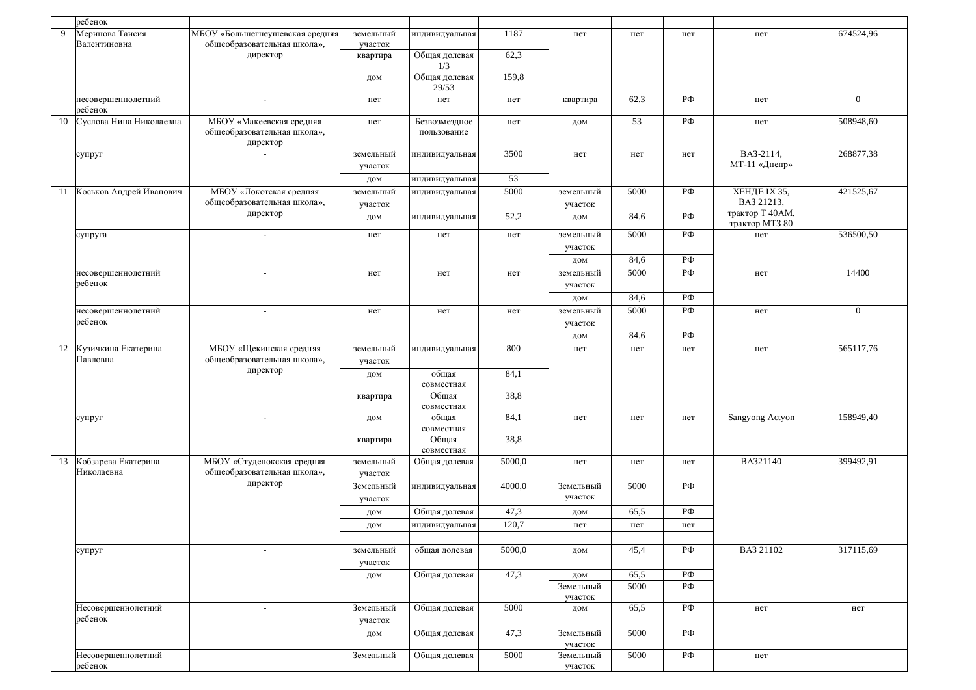|    | ребенок                              |                                                                     |                      |                              |        |                      |      |                    |                                   |                |
|----|--------------------------------------|---------------------------------------------------------------------|----------------------|------------------------------|--------|----------------------|------|--------------------|-----------------------------------|----------------|
| 9  | Меринова Таисия<br>Валентиновна      | МБОУ «Большегнеушевская средняя<br>общеобразовательная школа»,      | земельный<br>участок | индивидуальная               | 1187   | нет                  | нет  | нет                | нет                               | 674524,96      |
|    |                                      | директор                                                            | квартира             | Общая долевая<br>1/3         | 62,3   |                      |      |                    |                                   |                |
|    |                                      |                                                                     | дом                  | Общая долевая<br>29/53       | 159,8  |                      |      |                    |                                   |                |
|    | несовершеннолетний<br>ребенок        |                                                                     | нет                  | нет                          | нет    | квартира             | 62,3 | РФ                 | нет                               | $\overline{0}$ |
| 10 | Суслова Нина Николаевна              | МБОУ «Макеевская средняя<br>общеобразовательная школа»,<br>директор | нет                  | Безвозмездное<br>пользование | нет    | дом                  | 53   | $P\Phi$            | нет                               | 508948,60      |
|    | супруг                               |                                                                     | земельный<br>участок | индивидуальная               | 3500   | нет                  | нет  | нет                | BA3-2114,<br>МТ-11 «Днепр»        | 268877,38      |
|    |                                      |                                                                     | дом                  | индивидуальная               | 53     |                      |      |                    |                                   |                |
| 11 | Коськов Андрей Иванович              | МБОУ «Локотская средняя<br>общеобразовательная школа»,              | земельный<br>участок | индивидуальная               | 5000   | земельный<br>участок | 5000 | РФ                 | ХЕНДЕ IX 35,<br>BA3 21213,        | 421525,67      |
|    |                                      | директор                                                            | дом                  | индивидуальная               | 52,2   | дом                  | 84,6 | $P\Phi$            | трактор Т 40АМ.<br>трактор МТЗ 80 |                |
|    | супруга                              | $\sim$                                                              | нет                  | нет                          | нет    | земельный            | 5000 | $P\Phi$            | нет                               | 536500,50      |
|    |                                      |                                                                     |                      |                              |        | участок              |      |                    |                                   |                |
|    |                                      |                                                                     |                      |                              |        | дом                  | 84,6 | $P\Phi$            |                                   |                |
|    | несовершеннолетний<br>ребенок        |                                                                     | нет                  | нет                          | нет    | земельный<br>участок | 5000 | $P\Phi$            | нет                               | 14400          |
|    |                                      |                                                                     |                      |                              |        | дом                  | 84,6 | $P\Phi$            |                                   |                |
|    | несовершеннолетний<br>ребенок        | $\overline{\phantom{a}}$                                            | нет                  | нет                          | нет    | земельный<br>участок | 5000 | $P\Phi$            | нет                               | $\overline{0}$ |
|    |                                      |                                                                     |                      |                              |        | дом                  | 84,6 | $P\Phi$            |                                   |                |
|    | 12 Кузичкина Екатерина<br>Павловна   | МБОУ «Щекинская средняя<br>общеобразовательная школа»,              | земельный<br>участок | индивидуальная               | 800    | нет                  | нет  | нет                | нет                               | 565117,76      |
|    |                                      | директор                                                            | дом                  | общая<br>совместная          | 84,1   |                      |      |                    |                                   |                |
|    |                                      |                                                                     | квартира             | Общая<br>совместная          | 38,8   |                      |      |                    |                                   |                |
|    | супруг                               | $\sim$                                                              | дом                  | общая<br>совместная          | 84,1   | нет                  | нет  | нет                | Sangyong Actyon                   | 158949,40      |
|    |                                      |                                                                     | квартира             | Общая<br>совместная          | 38,8   |                      |      |                    |                                   |                |
|    | 13 Кобзарева Екатерина<br>Николаевна | МБОУ «Студенокская средняя<br>общеобразовательная школа»,           | земельный<br>участок | Общая долевая                | 5000,0 | нет                  | нет  | нет                | BA321140                          | 399492,91      |
|    |                                      | директор                                                            | Земельный<br>участок | индивидуальная               | 4000,0 | Земельный<br>участок | 5000 | РФ                 |                                   |                |
|    |                                      |                                                                     | дом                  | Общая долевая                | 47,3   | дом                  | 65,5 | РФ                 |                                   |                |
|    |                                      |                                                                     | дом                  | индивидуальная               | 120,7  | нет                  | нет  | нет                |                                   |                |
|    |                                      |                                                                     |                      |                              |        |                      |      |                    |                                   |                |
|    | супруг                               |                                                                     | земельный<br>участок | общая долевая                | 5000,0 | дом                  | 45,4 | $P\Phi$            | BA3 21102                         | 317115,69      |
|    |                                      |                                                                     | дом                  | Общая долевая                | 47,3   | дом                  | 65,5 | $P\Phi$            |                                   |                |
|    |                                      |                                                                     |                      |                              |        | Земельный<br>участок | 5000 | РФ                 |                                   |                |
|    | Несовершеннолетний<br>ребенок        | $\sim$                                                              | Земельный<br>участок | Общая долевая                | 5000   | дом                  | 65,5 | $P\Phi$            | нет                               | нет            |
|    |                                      |                                                                     | дом                  | Общая долевая                | 47,3   | Земельный<br>участок | 5000 | РФ                 |                                   |                |
|    | Несовершеннолетний<br>ребенок        |                                                                     | Земельный            | Общая долевая                | 5000   | Земельный<br>участок | 5000 | $\overline{P\Phi}$ | нет                               |                |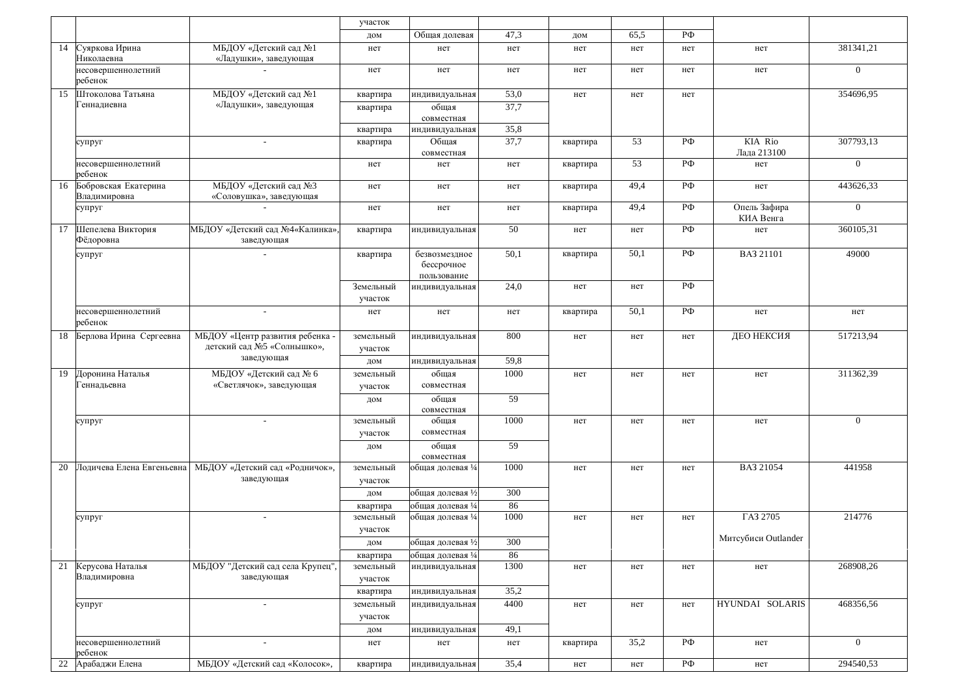|    |                                      |                                                                          | участок              |                                            |      |          |      |         |                           |                |
|----|--------------------------------------|--------------------------------------------------------------------------|----------------------|--------------------------------------------|------|----------|------|---------|---------------------------|----------------|
|    |                                      |                                                                          | дом                  | Общая долевая                              | 47,3 | дом      | 65.5 | РФ      |                           |                |
| 14 | Суяркова Ирина<br>Николаевна         | МБДОУ «Детский сад №1<br>«Ладушки», заведующая                           | нет                  | нет                                        | нет  | нет      | нет  | нет     | нет                       | 381341,21      |
|    | несовершеннолетний<br>ребенок        |                                                                          | нет                  | нет                                        | нет  | нет      | нет  | нет     | нет                       | $\overline{0}$ |
| 15 | Штоколова Татьяна                    | МБДОУ «Детский сад №1                                                    | квартира             | индивидуальная                             | 53,0 | нет      | нет  | нет     |                           | 354696,95      |
|    | Геннадиевна                          | «Ладушки», заведующая                                                    | квартира             | общая<br>совместная                        | 37,7 |          |      |         |                           |                |
|    |                                      |                                                                          | квартира             | индивидуальная                             | 35,8 |          |      |         |                           |                |
|    | супруг                               |                                                                          | квартира             | Общая<br>совместная                        | 37,7 | квартира | 53   | РФ      | KIA Rio<br>Лада 213100    | 307793.13      |
|    | несовершеннолетний<br>ребенок        |                                                                          | нет                  | нет                                        | нет  | квартира | 53   | РФ      | нет                       | $\overline{0}$ |
| 16 | Бобровская Екатерина<br>Владимировна | МБДОУ «Детский сад №3<br>«Соловушка», заведующая                         | нет                  | нет                                        | нет  | квартира | 49,4 | РФ      | нет                       | 443626,33      |
|    | супруг                               | $\sim$                                                                   | нет                  | нет                                        | нет  | квартира | 49,4 | РФ      | Опель Зафира<br>КИА Венга | $\overline{0}$ |
| 17 | Шепелева Виктория<br>Фёдоровна       | МБДОУ «Детский сад №4«Калинка»<br>заведующая                             | квартира             | индивидуальная                             | 50   | нет      | нет  | РФ      | нет                       | 360105,31      |
|    | супруг                               |                                                                          | квартира             | безвозмездное<br>бессрочное<br>пользование | 50,1 | квартира | 50,1 | РФ      | BA3 21101                 | 49000          |
|    |                                      |                                                                          | Земельный<br>участок | индивидуальная                             | 24,0 | нет      | нет  | $P\Phi$ |                           |                |
|    | несовершеннолетний<br>ребенок        | $\sim$                                                                   | нет                  | нет                                        | нет  | квартира | 50,1 | РФ      | нет                       | нет            |
| 18 | Берлова Ирина Сергеевна              | МБДОУ «Центр развития ребенка -<br>детский сад №5 «Солнышко»,            | земельный<br>участок | индивидуальная                             | 800  | нет      | нет  | нет     | ДЕО НЕКСИЯ                | 517213,94      |
|    |                                      | заведующая                                                               | ДОМ                  | индивидуальная                             | 59,8 |          |      |         |                           |                |
| 19 | Доронина Наталья                     | МБДОУ «Детский сад № 6                                                   | земельный            | общая                                      | 1000 | нет      | нет  | нет     | нет                       | 311362,39      |
|    | <b>еннадьевна</b>                    | «Светлячок», заведующая                                                  | участок              | совместная                                 |      |          |      |         |                           |                |
|    |                                      |                                                                          | дом                  | общая<br>совместная                        | 59   |          |      |         |                           |                |
|    | супруг                               | $\sim$                                                                   | земельный            | общая                                      | 1000 | нет      | нет  | нет     | нет                       | $\overline{0}$ |
|    |                                      |                                                                          | участок              | совместная                                 |      |          |      |         |                           |                |
|    |                                      |                                                                          | ДОМ                  | общая<br>совместная                        | 59   |          |      |         |                           |                |
| 20 |                                      | Лодичева Елена Евгеньевна   МБДОУ «Детский сад «Родничок»,<br>заведующая | земельный<br>участок | общая долевая 1/4                          | 1000 | нет      | нет  | нет     | BA3 21054                 | 441958         |
|    |                                      |                                                                          | ДОМ                  | общая долевая 1/                           | 300  |          |      |         |                           |                |
|    |                                      |                                                                          | квартира             | общая долевая 1/                           | 86   |          |      |         |                           |                |
|    | супруг                               | $\overline{\phantom{a}}$                                                 | земельный<br>участок | общая долевая 1/4                          | 1000 | нет      | нет  | нет     | ΓA3 2705                  | 214776         |
|    |                                      |                                                                          | ДОМ                  | общая долевая 1/2                          | 300  |          |      |         | Митсубиси Outlander       |                |
|    |                                      |                                                                          | квартира             | общая долевая 1/                           | 86   |          |      |         |                           |                |
| 21 | Керусова Наталья<br>Владимировна     | МБДОУ "Детский сад села Крупец",<br>заведующая                           | земельный<br>участок | индивидуальная                             | 1300 | нет      | нет  | нет     | нет                       | 268908,26      |
|    |                                      |                                                                          | квартира             | индивидуальная                             | 35,2 |          |      |         |                           |                |
|    | супруг                               | $\blacksquare$                                                           | земельный<br>участок | индивидуальная                             | 4400 | нет      | нет  | нет     | HYUNDAI SOLARIS           | 468356,56      |
|    |                                      |                                                                          | дом                  | индивидуальная                             | 49,1 |          |      |         |                           |                |
|    | несовершеннолетний<br>ребенок        | $\sim$                                                                   | нет                  | нет                                        | нет  | квартира | 35,2 | РФ      | нет                       | $\overline{0}$ |
| 22 | Арабаджи Елена                       | МБДОУ «Детский сад «Колосок»,                                            | квартира             | индивидуальная                             | 35,4 | нет      | нет  | $P\Phi$ | нет                       | 294540,53      |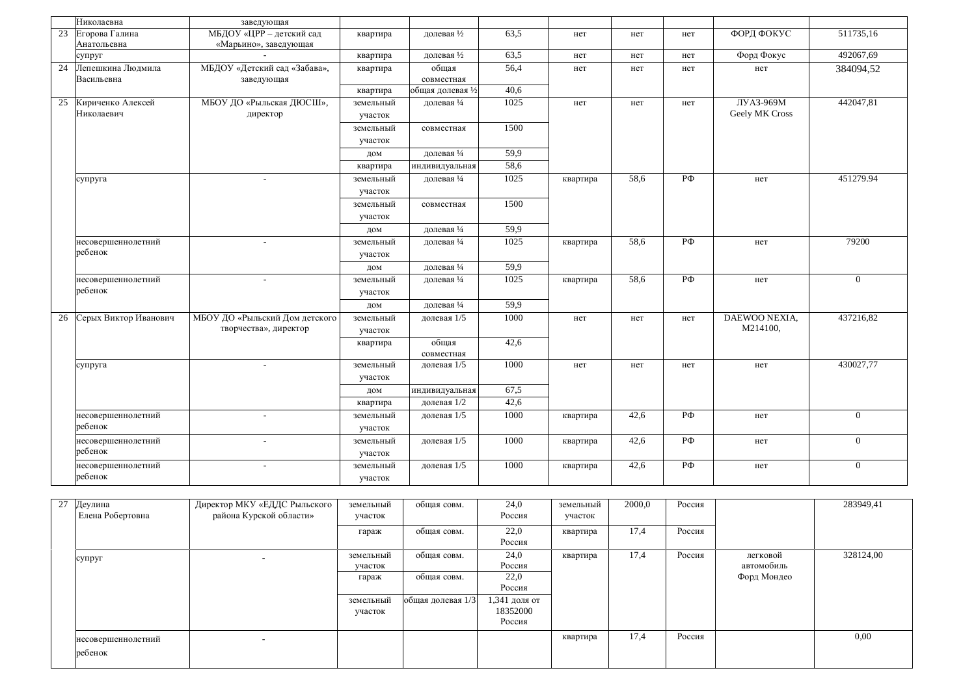| 511735,16<br>МБДОУ «ЦРР - детский сад<br>63,5<br>ФОРД ФОКУС<br>23<br>Егорова Галина<br>долевая 1/2<br>квартира<br>нет<br>нет<br>нет<br>Анатольевна<br>«Марьино», заведующая<br>492067,69<br>63,5<br>Форд Фокус<br>долевая 1/2<br>супруг<br>квартира<br>нет<br>нет<br>нет<br>Лепешкина Людмила<br>МБДОУ «Детский сад «Забава»,<br>общая<br>56,4<br>384094,52<br>24<br>квартира<br>нет<br>нет<br>нет<br>нет<br>Васильевна<br>заведующая<br>совместная<br>40,6<br>общая долевая 1/2<br>квартира<br>МБОУ ДО «Рыльская ДЮСШ»,<br>1025<br>ЛУАЗ-969М<br>442047,81<br>25<br>Кириченко Алексей<br>земельный<br>долевая 1/4<br>нет<br>нет<br>нет<br>Geely MK Cross<br>Николаевич<br>директор<br>участок<br>1500<br>земельный<br>совместная<br>участок |
|---------------------------------------------------------------------------------------------------------------------------------------------------------------------------------------------------------------------------------------------------------------------------------------------------------------------------------------------------------------------------------------------------------------------------------------------------------------------------------------------------------------------------------------------------------------------------------------------------------------------------------------------------------------------------------------------------------------------------------------------|
|                                                                                                                                                                                                                                                                                                                                                                                                                                                                                                                                                                                                                                                                                                                                             |
|                                                                                                                                                                                                                                                                                                                                                                                                                                                                                                                                                                                                                                                                                                                                             |
|                                                                                                                                                                                                                                                                                                                                                                                                                                                                                                                                                                                                                                                                                                                                             |
|                                                                                                                                                                                                                                                                                                                                                                                                                                                                                                                                                                                                                                                                                                                                             |
|                                                                                                                                                                                                                                                                                                                                                                                                                                                                                                                                                                                                                                                                                                                                             |
|                                                                                                                                                                                                                                                                                                                                                                                                                                                                                                                                                                                                                                                                                                                                             |
|                                                                                                                                                                                                                                                                                                                                                                                                                                                                                                                                                                                                                                                                                                                                             |
|                                                                                                                                                                                                                                                                                                                                                                                                                                                                                                                                                                                                                                                                                                                                             |
|                                                                                                                                                                                                                                                                                                                                                                                                                                                                                                                                                                                                                                                                                                                                             |
|                                                                                                                                                                                                                                                                                                                                                                                                                                                                                                                                                                                                                                                                                                                                             |
| 59,9<br>долевая 1/4<br>ДОМ                                                                                                                                                                                                                                                                                                                                                                                                                                                                                                                                                                                                                                                                                                                  |
| 58,6<br>индивидуальная<br>квартира                                                                                                                                                                                                                                                                                                                                                                                                                                                                                                                                                                                                                                                                                                          |
| 451279.94<br>1025<br>58,6<br>РФ<br>долевая 1/4<br>земельный<br>нет<br>супруга<br>квартира                                                                                                                                                                                                                                                                                                                                                                                                                                                                                                                                                                                                                                                   |
| участок                                                                                                                                                                                                                                                                                                                                                                                                                                                                                                                                                                                                                                                                                                                                     |
| 1500<br>земельный<br>совместная                                                                                                                                                                                                                                                                                                                                                                                                                                                                                                                                                                                                                                                                                                             |
| участок                                                                                                                                                                                                                                                                                                                                                                                                                                                                                                                                                                                                                                                                                                                                     |
| 59,9<br>долевая 1/4<br>дом                                                                                                                                                                                                                                                                                                                                                                                                                                                                                                                                                                                                                                                                                                                  |
| $P\Phi$<br>79200<br>1025<br>58,6<br>несовершеннолетний<br>долевая 1/4<br>земельный<br>квартира<br>нет                                                                                                                                                                                                                                                                                                                                                                                                                                                                                                                                                                                                                                       |
| ребенок                                                                                                                                                                                                                                                                                                                                                                                                                                                                                                                                                                                                                                                                                                                                     |
| участок                                                                                                                                                                                                                                                                                                                                                                                                                                                                                                                                                                                                                                                                                                                                     |
| 59,9<br>долевая 1/4<br>ДОМ                                                                                                                                                                                                                                                                                                                                                                                                                                                                                                                                                                                                                                                                                                                  |
| 1025<br>РФ<br>58.6<br>$\overline{0}$<br>долевая 1/4<br>несовершеннолетний<br>земельный<br>квартира<br>нет<br>$\sim$<br>ребенок                                                                                                                                                                                                                                                                                                                                                                                                                                                                                                                                                                                                              |
| участок                                                                                                                                                                                                                                                                                                                                                                                                                                                                                                                                                                                                                                                                                                                                     |
| 59,9<br>долевая 14<br>дом                                                                                                                                                                                                                                                                                                                                                                                                                                                                                                                                                                                                                                                                                                                   |
| Серых Виктор Иванович<br>МБОУ ДО «Рыльский Дом детского<br>DAEWOO NEXIA,<br>437216,82<br>1000<br>26<br>земельный<br>долевая 1/5<br>нет<br>нет<br>нет                                                                                                                                                                                                                                                                                                                                                                                                                                                                                                                                                                                        |
| M214100,<br>творчества», директор<br>участок                                                                                                                                                                                                                                                                                                                                                                                                                                                                                                                                                                                                                                                                                                |
| общая<br>42,6<br>квартира                                                                                                                                                                                                                                                                                                                                                                                                                                                                                                                                                                                                                                                                                                                   |
| совместная                                                                                                                                                                                                                                                                                                                                                                                                                                                                                                                                                                                                                                                                                                                                  |
| 1000<br>430027,77<br>земельный<br>долевая 1/5<br>супруга<br>нет<br>нет<br>нет<br>нет<br>$\overline{\phantom{a}}$                                                                                                                                                                                                                                                                                                                                                                                                                                                                                                                                                                                                                            |
| участок                                                                                                                                                                                                                                                                                                                                                                                                                                                                                                                                                                                                                                                                                                                                     |
| 67,5<br>индивидуальная<br>ДОМ                                                                                                                                                                                                                                                                                                                                                                                                                                                                                                                                                                                                                                                                                                               |
| 42,6<br>долевая 1/2<br>квартира                                                                                                                                                                                                                                                                                                                                                                                                                                                                                                                                                                                                                                                                                                             |
| РФ<br>1000<br>42,6<br>$\overline{0}$<br>несовершеннолетний<br>долевая 1/5<br>земельный<br>$\overline{a}$<br>нет<br>квартира                                                                                                                                                                                                                                                                                                                                                                                                                                                                                                                                                                                                                 |
| ребенок<br>участок                                                                                                                                                                                                                                                                                                                                                                                                                                                                                                                                                                                                                                                                                                                          |
| 1000<br>42,6<br>РФ<br>несовершеннолетний<br>долевая 1/5<br>$\overline{0}$<br>земельный<br>квартира<br>нет<br>$\overline{\phantom{a}}$                                                                                                                                                                                                                                                                                                                                                                                                                                                                                                                                                                                                       |
| ребенок<br>участок                                                                                                                                                                                                                                                                                                                                                                                                                                                                                                                                                                                                                                                                                                                          |
| 1000<br>42,6<br>РФ<br>$\overline{0}$<br>долевая 1/5<br>несовершеннолетний<br>земельный<br>квартира<br>нет<br>$\sim$                                                                                                                                                                                                                                                                                                                                                                                                                                                                                                                                                                                                                         |
| ребенок<br>участок                                                                                                                                                                                                                                                                                                                                                                                                                                                                                                                                                                                                                                                                                                                          |

| 27 | Деулина<br>Елена Робертовна   | Директор МКУ «ЕДДС Рыльского<br>района Курской области» | земельный<br>участок | общая совм.       | 24,0<br>Россия                      | земельный<br>участок | 2000,0 | Россия |                        | 283949,41 |
|----|-------------------------------|---------------------------------------------------------|----------------------|-------------------|-------------------------------------|----------------------|--------|--------|------------------------|-----------|
|    |                               |                                                         | гараж                | общая совм.       | 22,0<br>Россия                      | квартира             | 17,4   | Россия |                        |           |
|    | супруг                        | $\overline{\phantom{a}}$                                | земельный<br>участок | общая совм.       | 24,0<br>Россия                      | квартира             | 17,4   | Россия | легковой<br>автомобиль | 328124,00 |
|    |                               |                                                         | гараж                | общая совм.       | 22,0<br>Россия                      |                      |        |        | Форд Мондео            |           |
|    |                               |                                                         | земельный<br>участок | общая долевая 1/3 | 1,341 доля от<br>18352000<br>Россия |                      |        |        |                        |           |
|    | несовершеннолетний<br>ребенок | $\overline{\phantom{0}}$                                |                      |                   |                                     | квартира             | 17,4   | Россия |                        | 0.00      |